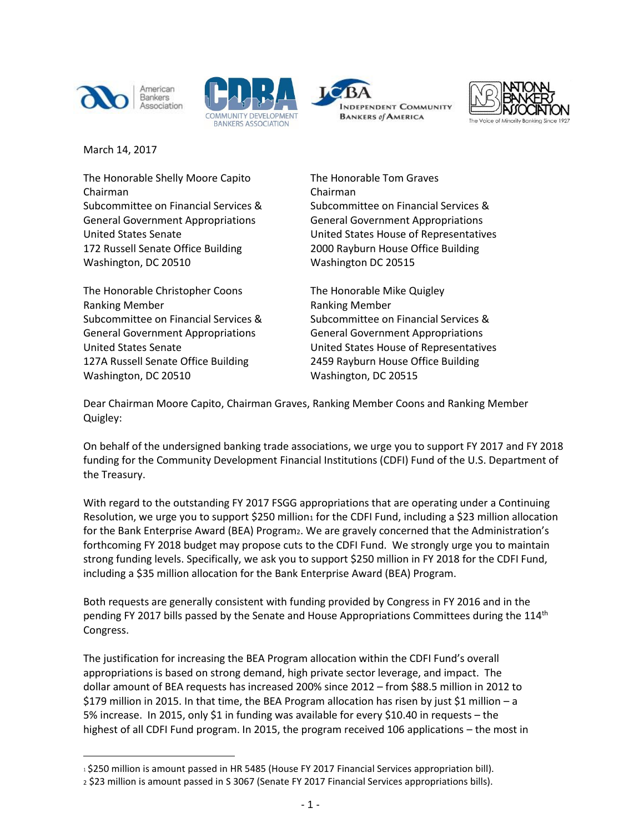







March 14, 2017

 $\overline{a}$ 

The Honorable Shelly Moore Capito The Honorable Tom Graves Chairman Chairman Subcommittee on Financial Services & Subcommittee on Financial Services & General Government Appropriations General Government Appropriations 172 Russell Senate Office Building 2000 Rayburn House Office Building Washington, DC 20510 Washington DC 20515

The Honorable Christopher Coons The Honorable Mike Quigley Ranking Member **Ranking Member** Ranking Member General Government Appropriations General Government Appropriations 127A Russell Senate Office Building 2459 Rayburn House Office Building Washington, DC 20510 Washington, DC 20515

United States Senate United States House of Representatives

Subcommittee on Financial Services & Subcommittee on Financial Services & United States Senate United States House of Representatives

Dear Chairman Moore Capito, Chairman Graves, Ranking Member Coons and Ranking Member Quigley:

On behalf of the undersigned banking trade associations, we urge you to support FY 2017 and FY 2018 funding for the Community Development Financial Institutions (CDFI) Fund of the U.S. Department of the Treasury.

With regard to the outstanding FY 2017 FSGG appropriations that are operating under a Continuing Resolution, we urge you to support \$250 million<sub>1</sub> for the CDFI Fund, including a \$23 million allocation for the Bank Enterprise Award (BEA) Program2. We are gravely concerned that the Administration's forthcoming FY 2018 budget may propose cuts to the CDFI Fund. We strongly urge you to maintain strong funding levels. Specifically, we ask you to support \$250 million in FY 2018 for the CDFI Fund, including a \$35 million allocation for the Bank Enterprise Award (BEA) Program.

Both requests are generally consistent with funding provided by Congress in FY 2016 and in the pending FY 2017 bills passed by the Senate and House Appropriations Committees during the  $114<sup>th</sup>$ Congress.

The justification for increasing the BEA Program allocation within the CDFI Fund's overall appropriations is based on strong demand, high private sector leverage, and impact. The dollar amount of BEA requests has increased 200% since 2012 – from \$88.5 million in 2012 to \$179 million in 2015. In that time, the BEA Program allocation has risen by just \$1 million – a 5% increase. In 2015, only \$1 in funding was available for every \$10.40 in requests – the highest of all CDFI Fund program. In 2015, the program received 106 applications – the most in

<sup>1 \$250</sup> million is amount passed in HR 5485 (House FY 2017 Financial Services appropriation bill).

<sup>2</sup> \$23 million is amount passed in S 3067 (Senate FY 2017 Financial Services appropriations bills).